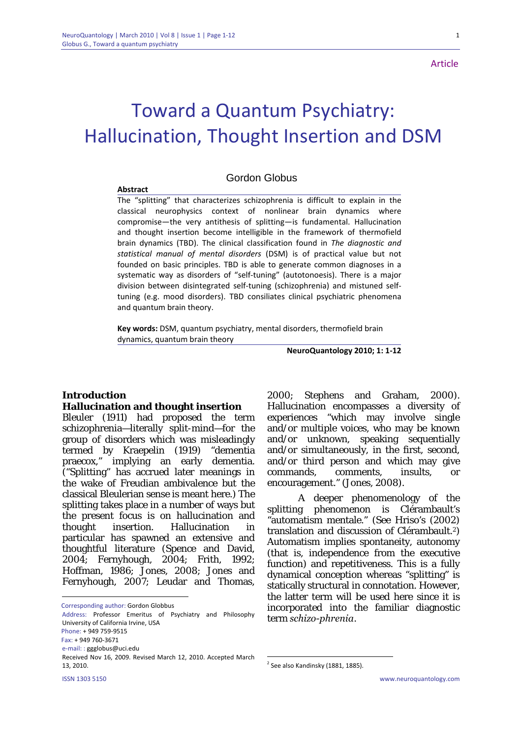1

# Toward a Quantum Psychiatry: Hallucination, Thought Insertion and DSM

# Gordon Globus

#### **Abstract**

The "splitting" that characterizes schizophrenia is difficult to explain in the classical neurophysics context of nonlinear brain dynamics where compromise—the very antithesis of splitting—is fundamental. Hallucination and thought insertion become intelligible in the framework of thermofield brain dynamics (TBD). The clinical classification found in *The diagnostic and statistical manual of mental disorders* (DSM) is of practical value but not founded on basic principles. TBD is able to generate common diagnoses in a systematic way as disorders of "self-tuning" (autotonoesis). There is a major division between disintegrated self-tuning (schizophrenia) and mistuned selftuning (e.g. mood disorders). TBD consiliates clinical psychiatric phenomena and quantum brain theory.

**Key words:** DSM, quantum psychiatry, mental disorders, thermofield brain dynamics, quantum brain theory

**NeuroQuantology 2010; 1: 1‐12**

#### **Introduction**<sup>1</sup>

#### **Hallucination and thought insertion**

Bleuler (1911) had proposed the term schizophrenia—literally split-mind—for the group of disorders which was misleadingly termed by Kraepelin (1919) "dementia praecox," implying an early dementia. ("Splitting" has accrued later meanings in the wake of Freudian ambivalence but the classical Bleulerian sense is meant here.) The splitting takes place in a number of ways but the present focus is on hallucination and thought insertion. Hallucination in particular has spawned an extensive and thoughtful literature (Spence and David, 2004; Fernyhough, 2004; Frith, 1992; Hoffman, 1986; Jones, 2008; Jones and Fernyhough, 2007; Leudar and Thomas,

Corresponding author: Gordon Globbus

ISSN 1303 5150 www.neuroquantology.com Address: Professor Emeritus of Psychiatry and Philosophy University of California Irvine, USA Phone: + 949 759‐9515 Fax: + 949 760‐3671 e‐mail: : ggglobus@uci.edu Received Nov 16, 2009. Revised March 12, 2010. Accepted March 13, 2010.

2000; Stephens and Graham, 2000). Hallucination encompasses a diversity of experiences "which may involve single and/or multiple voices, who may be known and/or unknown, speaking sequentially and/or simultaneously, in the first, second, and/or third person and which may give commands, comments, insults, or encouragement." (Jones, 2008).

 A deeper phenomenology of the splitting phenomenon is Clérambault's "automatism mentale." (See Hriso's (2002) translation and discussion of Clérambault.2) Automatism implies spontaneity, autonomy (that is, independence from the executive function) and repetitiveness. This is a fully dynamical conception whereas "splitting" is statically structural in connotation. However, the latter term will be used here since it is incorporated into the familiar diagnostic term *schizo-phrenia*.

<u>.</u>

 $2$  See also Kandinsky (1881, 1885).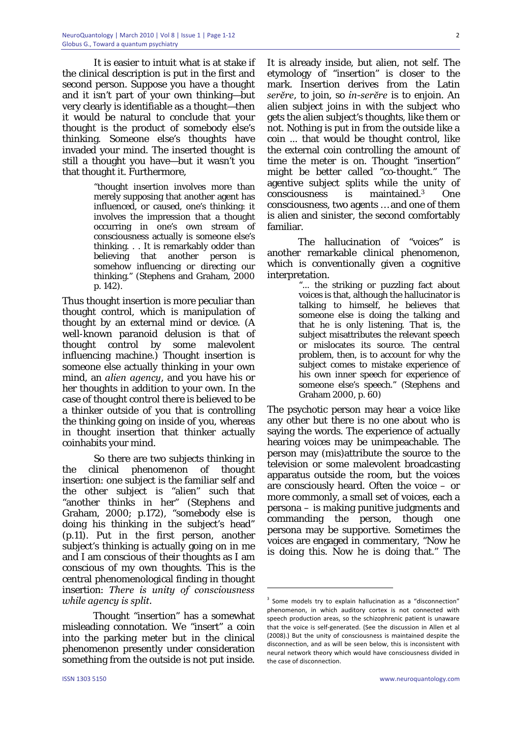It is easier to intuit what is at stake if the clinical description is put in the first and second person. Suppose you have a thought and it isn't part of your own thinking—but very clearly is identifiable as a thought—then it would be natural to conclude that your thought is the product of somebody else's thinking. Someone else's thoughts have invaded your mind. The inserted thought is still a thought you have—but it wasn't you that thought it. Furthermore,

> "thought insertion involves more than merely supposing that another agent has influenced, or caused, one's thinking: it involves the impression that a thought occurring in one's own stream of consciousness actually is someone else's thinking. . . It is remarkably odder than believing that another person is somehow influencing or directing our thinking." (Stephens and Graham, 2000 p. 142).

Thus thought insertion is more peculiar than thought control, which is manipulation of thought by an external mind or device. (A well-known paranoid delusion is that of thought control by some malevolent influencing machine.) Thought insertion is someone else actually thinking in your own mind, an *alien agency*, and you have his or her thoughts in addition to your own. In the case of thought control there is believed to be a thinker outside of you that is controlling the thinking going on inside of you, whereas in thought insertion that thinker actually coinhabits your mind.

So there are two subjects thinking in the clinical phenomenon of thought insertion: one subject is the familiar self and the other subject is "alien" such that "another thinks in her" (Stephens and Graham, 2000; p.172), "somebody else is doing his thinking in the subject's head" (p.11). Put in the first person, another subject's thinking is actually going on in me and I am conscious of their thoughts as I am conscious of my own thoughts. This is the central phenomenological finding in thought insertion: *There is unity of consciousness while agency is split.*

 Thought "insertion" has a somewhat misleading connotation. We "insert" a coin into the parking meter but in the clinical phenomenon presently under consideration something from the outside is not put inside.

It is already inside, but alien, not self. The etymology of "insertion" is closer to the mark. Insertion derives from the Latin *serĕre*, to join, so *in-serĕre* is to enjoin. An alien subject joins in with the subject who gets the alien subject's thoughts, like them or not. Nothing is put in from the outside like a coin ... that would be thought control, like the external coin controlling the amount of time the meter is on. Thought "insertion" might be better called "co-thought." The agentive subject splits while the unity of consciousness is maintained.3 One consciousness, two agents … and one of them is alien and sinister, the second comfortably familiar.

 The hallucination of "voices" is another remarkable clinical phenomenon, which is conventionally given a cognitive interpretation.

> "... the striking or puzzling fact about voices is that, although the hallucinator is talking to himself, he believes that someone else is doing the talking and that he is only listening. That is, the subject misattributes the relevant speech or mislocates its source. The central problem, then, is to account for why the subject comes to mistake experience of his own inner speech for experience of someone else's speech." (Stephens and Graham 2000, p. 60)

The psychotic person may hear a voice like any other but there is no one about who is saying the words. The experience of actually hearing voices may be unimpeachable. The person may (mis)attribute the source to the television or some malevolent broadcasting apparatus outside the room, but the voices are consciously heard. Often the voice – or more commonly, a small set of voices, each a persona – is making punitive judgments and commanding the person, though one persona may be supportive. Sometimes the voices are engaged in commentary, "Now he is doing this. Now he is doing that." The

<sup>&</sup>lt;sup>3</sup> Some models try to explain hallucination as a "disconnection" phenomenon, in which auditory cortex is not connected with speech production areas, so the schizophrenic patient is unaware that the voice is self‐generated. (See the discussion in Allen et al (2008).) But the unity of consciousness is maintained despite the disconnection, and as will be seen below, this is inconsistent with neural network theory which would have consciousness divided in the case of disconnection.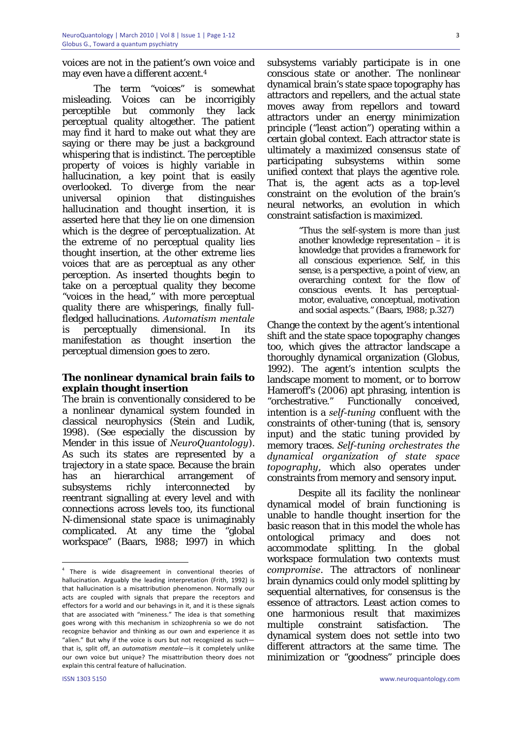voices are not in the patient's own voice and may even have a different accent.4

The term "voices" is somewhat misleading. Voices can be incorrigibly perceptible but commonly they lack perceptual quality altogether. The patient may find it hard to make out what they are saying or there may be just a background whispering that is indistinct. The perceptible property of voices is highly variable in hallucination, a key point that is easily overlooked. To diverge from the near universal opinion that distinguishes hallucination and thought insertion, it is asserted here that they lie on one dimension which is the degree of perceptualization. At the extreme of no perceptual quality lies thought insertion, at the other extreme lies voices that are as perceptual as any other perception. As inserted thoughts begin to take on a perceptual quality they become "voices in the head," with more perceptual quality there are whisperings, finally fullfledged hallucinations. *Automatism mentale*  is perceptually dimensional. In its manifestation as thought insertion the perceptual dimension goes to zero.

# **The nonlinear dynamical brain fails to explain thought insertion**

The brain is conventionally considered to be a nonlinear dynamical system founded in classical neurophysics (Stein and Ludik, 1998). (See especially the discussion by Mender in this issue of *NeuroQuantology*). As such its states are represented by a trajectory in a state space. Because the brain has an hierarchical arrangement of subsystems richly interconnected by reentrant signalling at every level and with connections across levels too, its functional N-dimensional state space is unimaginably complicated. At any time the "global workspace" (Baars, 1988; 1997) in which subsystems variably participate is in one conscious state or another. The nonlinear dynamical brain's state space topography has attractors and repellers, and the actual state moves away from repellors and toward attractors under an energy minimization principle ("least action") operating within a certain global context. Each attractor state is ultimately a maximized consensus state of participating subsystems within some unified context that plays the agentive role. That is, the agent acts as a top-level constraint on the evolution of the brain's neural networks, an evolution in which constraint satisfaction is maximized.

> "Thus the self-system is more than just another knowledge representation – it is knowledge that provides a framework for all conscious experience. Self, in this sense, is a perspective, a point of view, an overarching context for the flow of conscious events. It has perceptualmotor, evaluative, conceptual, motivation and social aspects." (Baars, 1988; p.327)

Change the context by the agent's intentional shift and the state space topography changes too, which gives the attractor landscape a thoroughly dynamical organization (Globus, 1992). The agent's intention sculpts the landscape moment to moment, or to borrow Hameroff's (2006) apt phrasing, intention is "orchestrative." Functionally conceived, intention is a *self-tuning* confluent with the constraints of other-tuning (that is, sensory input) and the static tuning provided by memory traces. *Self-tuning orchestrates the dynamical organization of state space topography*, which also operates under constraints from memory and sensory input*.* 

 Despite all its facility the nonlinear dynamical model of brain functioning is unable to handle thought insertion for the basic reason that in this model the whole has ontological primacy and does not accommodate splitting. In the global workspace formulation two contexts must *compromise*. The attractors of nonlinear brain dynamics could only model splitting by sequential alternatives, for consensus is the essence of attractors. Least action comes to one harmonious result that maximizes multiple constraint satisfaction. The dynamical system does not settle into two different attractors at the same time. The minimization or "goodness" principle does

1

 $4$  There is wide disagreement in conventional theories of hallucination. Arguably the leading interpretation (Frith, 1992) is that hallucination is a misattribution phenomenon. Normally our acts are coupled with signals that prepare the receptors and effectors for a world and our behavings in it, and it is these signals that are associated with "mineness." The idea is that something goes wrong with this mechanism in schizophrenia so we do not recognize behavior and thinking as our own and experience it as "alien." But why if the voice is ours but not recognized as such that is, split off, an *automatism mentale*—is it completely unlike our own voice but unique? The misattribution theory does not explain this central feature of hallucination.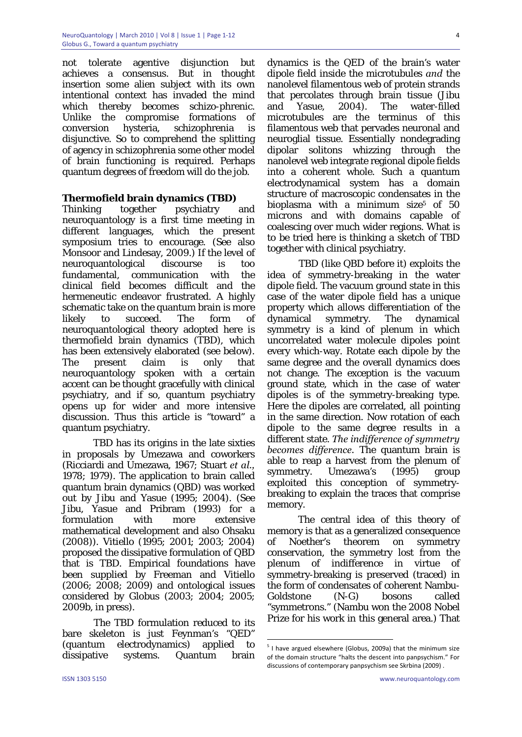not tolerate agentive disjunction but achieves a consensus. But in thought insertion some alien subject with its own intentional context has invaded the mind which thereby becomes schizo-phrenic. Unlike the compromise formations of conversion hysteria, schizophrenia is disjunctive. So to comprehend the splitting of agency in schizophrenia some other model of brain functioning is required. Perhaps quantum degrees of freedom will do the job.

# **Thermofield brain dynamics (TBD)**

Thinking together psychiatry and neuroquantology is a first time meeting in different languages, which the present symposium tries to encourage. (See also Monsoor and Lindesay, 2009.) If the level of neuroquantological discourse is too fundamental, communication with the clinical field becomes difficult and the hermeneutic endeavor frustrated. A highly schematic take on the quantum brain is more likely to succeed. The form of neuroquantological theory adopted here is thermofield brain dynamics (TBD), which has been extensively elaborated (see below). The present claim is only that neuroquantology spoken with a certain accent can be thought gracefully with clinical psychiatry, and if so, quantum psychiatry opens up for wider and more intensive discussion. Thus this article is "toward" a quantum psychiatry.

 TBD has its origins in the late sixties in proposals by Umezawa and coworkers (Ricciardi and Umezawa, 1967; Stuart *et al.,* 1978; 1979). The application to brain called quantum brain dynamics (QBD) was worked out by Jibu and Yasue (1995; 2004). (See Jibu, Yasue and Pribram (1993) for a formulation with more extensive mathematical development and also Ohsaku (2008)). Vitiello (1995; 2001; 2003; 2004) proposed the dissipative formulation of QBD that is TBD. Empirical foundations have been supplied by Freeman and Vitiello (2006; 2008; 2009) and ontological issues considered by Globus (2003; 2004; 2005; 2009b, in press).

The TBD formulation reduced to its bare skeleton is just Feynman's "QED" (quantum electrodynamics) applied to dissipative systems. Quantum brain

dynamics is the QED of the brain's water dipole field inside the microtubules *and* the nanolevel filamentous web of protein strands that percolates through brain tissue (Jibu and Yasue, 2004). The water-filled microtubules are the terminus of this filamentous web that pervades neuronal and neuroglial tissue. Essentially nondegrading dipolar solitons whizzing through the nanolevel web integrate regional dipole fields into a coherent whole. Such a quantum electrodynamical system has a domain structure of macroscopic condensates in the bioplasma with a minimum size<sup>5</sup> of 50 microns and with domains capable of coalescing over much wider regions. What is to be tried here is thinking a sketch of TBD together with clinical psychiatry.

TBD (like QBD before it) exploits the idea of symmetry-breaking in the water dipole field. The vacuum ground state in this case of the water dipole field has a unique property which allows differentiation of the dynamical symmetry. The dynamical symmetry is a kind of plenum in which uncorrelated water molecule dipoles point every which-way. Rotate each dipole by the same degree and the overall dynamics does not change. The exception is the vacuum ground state, which in the case of water dipoles is of the symmetry-breaking type. Here the dipoles are correlated, all pointing in the same direction. Now rotation of each dipole to the same degree results in a different state. *The indifference of symmetry becomes difference.* The quantum brain is able to reap a harvest from the plenum of symmetry. Umezawa's (1995) group exploited this conception of symmetrybreaking to explain the traces that comprise memory.

 The central idea of this theory of memory is that as a generalized consequence of Noether's theorem on symmetry conservation, the symmetry lost from the plenum of indifference in virtue of symmetry-breaking is preserved (traced) in the form of condensates of coherent Nambu-Goldstone (N-G) bosons called "symmetrons." (Nambu won the 2008 Nobel Prize for his work in this general area.) That

 $5$  I have argued elsewhere (Globus, 2009a) that the minimum size of the domain structure "halts the descent into panpsychism." For discussions of contemporary panpsychism see Skrbina (2009) .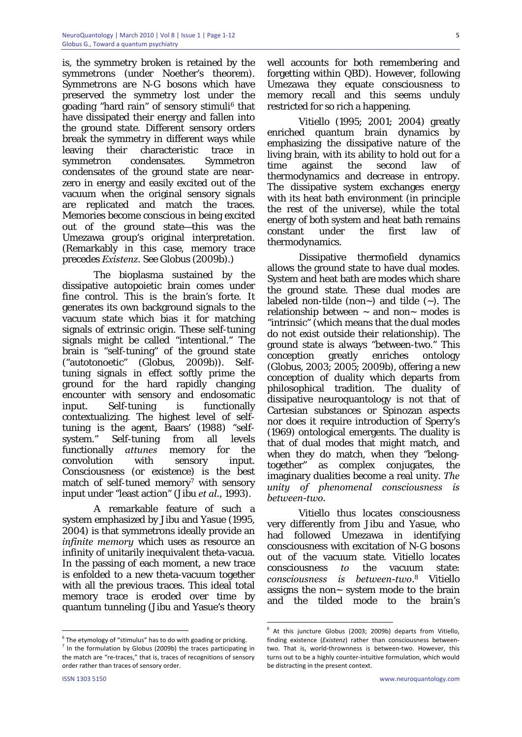is, the symmetry broken is retained by the symmetrons (under Noether's theorem). Symmetrons are N-G bosons which have preserved the symmetry lost under the goading "hard rain" of sensory stimuli<sup>6</sup> that have dissipated their energy and fallen into the ground state. Different sensory orders break the symmetry in different ways while leaving their characteristic trace in symmetron condensates. Symmetron condensates of the ground state are nearzero in energy and easily excited out of the vacuum when the original sensory signals are replicated and match the traces. Memories become conscious in being excited out of the ground state—this was the Umezawa group's original interpretation. (Remarkably in this case, memory trace precedes *Existenz.* See Globus (2009b).)

The bioplasma sustained by the dissipative autopoietic brain comes under fine control. This is the brain's forte. It generates its own background signals to the vacuum state which bias it for matching signals of extrinsic origin. These self-tuning signals might be called "intentional." The brain is "self-tuning" of the ground state ("autotonoetic" (Globus, 2009b)). Selftuning signals in effect softly prime the ground for the hard rapidly changing encounter with sensory and endosomatic input. Self-tuning is functionally contextualizing. The highest level of selftuning is the agent, Baars' (1988) "selfsystem." Self-tuning from all levels functionally *attunes* memory for the convolution with sensory input. Consciousness (or existence) is the best match of self-tuned memory<sup>7</sup> with sensory input under "least action" (Jibu *et al.,* 1993).

A remarkable feature of such a system emphasized by Jibu and Yasue (1995, 2004) is that symmetrons ideally provide an *infinite memory* which uses as resource an infinity of unitarily inequivalent theta-vacua. In the passing of each moment, a new trace is enfolded to a new theta-vacuum together with all the previous traces. This ideal total memory trace is eroded over time by quantum tunneling (Jibu and Yasue's theory

<u>.</u>

well accounts for both remembering and forgetting within QBD). However, following Umezawa they equate consciousness to memory recall and this seems unduly restricted for so rich a happening.

Vitiello (1995; 2001; 2004) greatly enriched quantum brain dynamics by emphasizing the dissipative nature of the living brain, with its ability to hold out for a time against the second law of thermodynamics and decrease in entropy. The dissipative system exchanges energy with its heat bath environment (in principle the rest of the universe), while the total energy of both system and heat bath remains constant under the first law of thermodynamics.

Dissipative thermofield dynamics allows the ground state to have dual modes. System and heat bath are modes which share the ground state. These dual modes are labeled non-tilde (non~) and tilde (~). The relationship between  $\sim$  and non $\sim$  modes is "intrinsic" (which means that the dual modes do not exist outside their relationship). The ground state is always "between-two." This conception greatly enriches ontology (Globus, 2003; 2005; 2009b), offering a new conception of duality which departs from philosophical tradition. The duality of dissipative neuroquantology is not that of Cartesian substances or Spinozan aspects nor does it require introduction of Sperry's (1969) ontological emergents. The duality is that of dual modes that might match, and when they do match, when they "belongtogether" as complex conjugates, the imaginary dualities become a real unity. *The unity of phenomenal consciousness is between-two.*

Vitiello thus locates consciousness very differently from Jibu and Yasue, who had followed Umezawa in identifying consciousness with excitation of N-G bosons out of the vacuum state. Vitiello locates consciousness *to* the vacuum state: *consciousness is between-two*. 8 Vitiello assigns the non~ system mode to the brain and the tilded mode to the brain's

 $6$  The etymology of "stimulus" has to do with goading or pricking.

<sup>7</sup> In the formulation by Globus (2009b) the traces participating in the match are "re-traces," that is, traces of recognitions of sensory order rather than traces of sensory order.

<sup>8</sup> At this juncture Globus (2003; 2009b) departs from Vitiello, finding existence (*Existenz*) rather than consciousness between‐ two. That is, world‐thrownness is between‐two. However, this turns out to be a highly counter‐intuitive formulation, which would be distracting in the present context.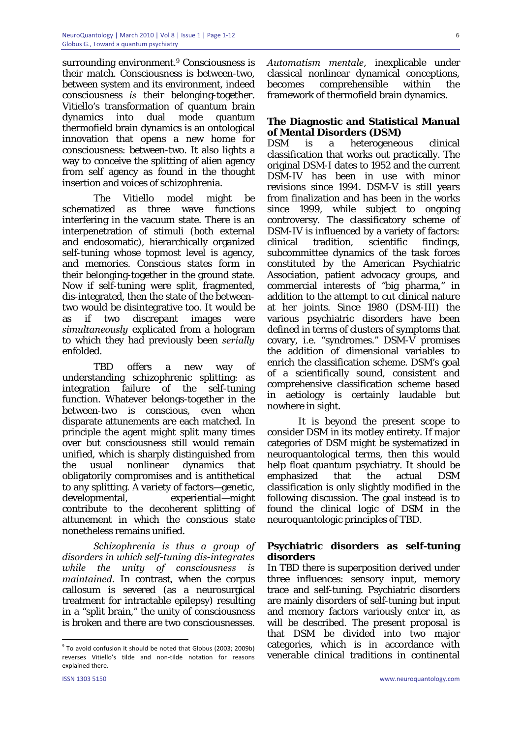surrounding environment.9 Consciousness is their match. Consciousness is between-two, between system and its environment, indeed consciousness *is* their belonging-together. Vitiello's transformation of quantum brain dynamics into dual mode quantum thermofield brain dynamics is an ontological innovation that opens a new home for consciousness: between-two. It also lights a way to conceive the splitting of alien agency from self agency as found in the thought insertion and voices of schizophrenia.

The Vitiello model might be schematized as three wave functions interfering in the vacuum state. There is an interpenetration of stimuli (both external and endosomatic), hierarchically organized self-tuning whose topmost level is agency, and memories. Conscious states form in their belonging-together in the ground state. Now if self-tuning were split, fragmented, dis-integrated, then the state of the betweentwo would be disintegrative too. It would be as if two discrepant images were *simultaneously* explicated from a hologram to which they had previously been *serially* enfolded.

TBD offers a new way of understanding schizophrenic splitting: as integration failure of the self-tuning function. Whatever belongs-together in the between-two is conscious, even when disparate attunements are each matched. In principle the agent might split many times over but consciousness still would remain unified, which is sharply distinguished from the usual nonlinear dynamics that obligatorily compromises and is antithetical to any splitting. A variety of factors—genetic, developmental, experiential—might contribute to the decoherent splitting of attunement in which the conscious state nonetheless remains unified.

*Schizophrenia is thus a group of disorders in which self-tuning dis-integrates while the unity of consciousness is maintained.* In contrast, when the corpus callosum is severed (as a neurosurgical treatment for intractable epilepsy) resulting in a "split brain," the unity of consciousness is broken and there are two consciousnesses.

*Automatism mentale*, inexplicable under classical nonlinear dynamical conceptions, becomes comprehensible within the framework of thermofield brain dynamics.

# **The Diagnostic and Statistical Manual of Mental Disorders (DSM)**

DSM is a heterogeneous clinical classification that works out practically. The original DSM-I dates to 1952 and the current DSM-IV has been in use with minor revisions since 1994. DSM-V is still years from finalization and has been in the works since 1999, while subject to ongoing controversy. The classificatory scheme of DSM-IV is influenced by a variety of factors: clinical tradition, scientific findings, subcommittee dynamics of the task forces constituted by the American Psychiatric Association, patient advocacy groups, and commercial interests of "big pharma," in addition to the attempt to cut clinical nature at her joints. Since 1980 (DSM-III) the various psychiatric disorders have been defined in terms of clusters of symptoms that covary, i.e. "syndromes." DSM-V promises the addition of dimensional variables to enrich the classification scheme. DSM's goal of a scientifically sound, consistent and comprehensive classification scheme based in aetiology is certainly laudable but nowhere in sight.

 It is beyond the present scope to consider DSM in its motley entirety. If major categories of DSM might be systematized in neuroquantological terms, then this would help float quantum psychiatry. It should be emphasized that the actual DSM classification is only slightly modified in the following discussion. The goal instead is to found the clinical logic of DSM in the neuroquantologic principles of TBD.

# **Psychiatric disorders as self-tuning disorders**

In TBD there is superposition derived under three influences: sensory input, memory trace and self-tuning. Psychiatric disorders are mainly disorders of self-tuning but input and memory factors variously enter in, as will be described. The present proposal is that DSM be divided into two major categories, which is in accordance with venerable clinical traditions in continental

1

 $9$  To avoid confusion it should be noted that Globus (2003; 2009b) reverses Vitiello's tilde and non-tilde notation for reasons explained there.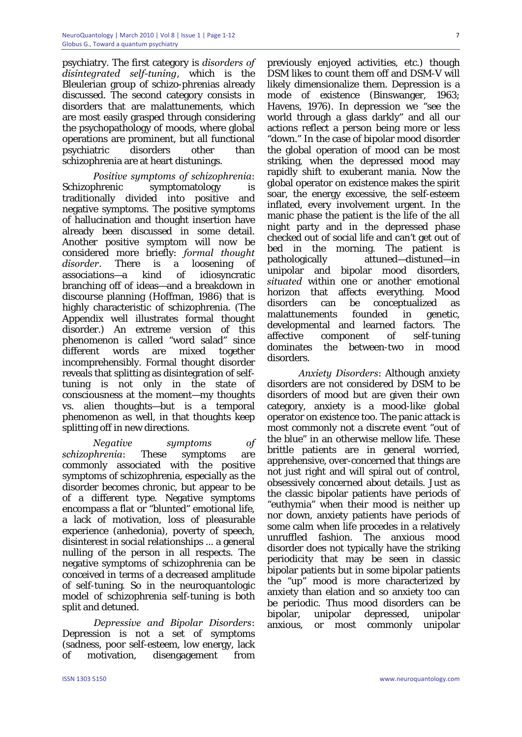psychiatry. The first category is *disorders of disintegrated self-tuning*, which is the Bleulerian group of schizo-phrenias already discussed. The second category consists in disorders that are malattunements, which are most easily grasped through considering the psychopathology of moods, where global operations are prominent, but all functional psychiatric disorders other than schizophrenia are at heart distunings.

*Positive symptoms of schizophrenia*: Schizophrenic symptomatology is traditionally divided into positive and negative symptoms. The positive symptoms of hallucination and thought insertion have already been discussed in some detail. Another positive symptom will now be considered more briefly: *formal thought disorder*. There is a loosening of associations—a kind of idiosyncratic branching off of ideas—and a breakdown in discourse planning (Hoffman, 1986) that is highly characteristic of schizophrenia. (The Appendix well illustrates formal thought disorder.) An extreme version of this phenomenon is called "word salad" since different words are mixed together incomprehensibly. Formal thought disorder reveals that splitting as disintegration of selftuning is not only in the state of consciousness at the moment—my thoughts vs. alien thoughts—but is a temporal phenomenon as well, in that thoughts keep splitting off in new directions.

 *Negative symptoms of schizophrenia*: These symptoms are commonly associated with the positive symptoms of schizophrenia, especially as the disorder becomes chronic, but appear to be of a different type. Negative symptoms encompass a flat or "blunted" emotional life, a lack of motivation, loss of pleasurable experience (anhedonia), poverty of speech, disinterest in social relationships ... a general nulling of the person in all respects. The negative symptoms of schizophrenia can be conceived in terms of a decreased amplitude of self-tuning. So in the neuroquantologic model of schizophrenia self-tuning is both split and detuned.

*Depressive and Bipolar Disorders*: Depression is not a set of symptoms (sadness, poor self-esteem, low energy, lack of motivation, disengagement from

previously enjoyed activities, etc.) though DSM likes to count them off and DSM-V will likely dimensionalize them. Depression is a mode of existence (Binswanger, 1963; Havens, 1976). In depression we "see the world through a glass darkly" and all our actions reflect a person being more or less "down." In the case of bipolar mood disorder the global operation of mood can be most striking, when the depressed mood may rapidly shift to exuberant mania. Now the global operator on existence makes the spirit soar, the energy excessive, the self-esteem inflated, every involvement urgent. In the manic phase the patient is the life of the all night party and in the depressed phase checked out of social life and can't get out of bed in the morning. The patient is pathologically attuned—distuned—in unipolar and bipolar mood disorders, *situated* within one or another emotional horizon that affects everything. Mood disorders can be conceptualized as malattunements founded in genetic, developmental and learned factors. The affective component of self-tuning dominates the between-two in mood disorders.

*Anxiety Disorders*: Although anxiety disorders are not considered by DSM to be disorders of mood but are given their own category, anxiety is a mood-like global operator on existence too. The panic attack is most commonly not a discrete event "out of the blue" in an otherwise mellow life. These brittle patients are in general worried, apprehensive, over-concerned that things are not just right and will spiral out of control, obsessively concerned about details. Just as the classic bipolar patients have periods of "euthymia" when their mood is neither up nor down, anxiety patients have periods of some calm when life procedes in a relatively unruffled fashion. The anxious mood disorder does not typically have the striking periodicity that may be seen in classic bipolar patients but in some bipolar patients the "up" mood is more characterized by anxiety than elation and so anxiety too can be periodic. Thus mood disorders can be bipolar, unipolar depressed, unipolar anxious, or most commonly unipolar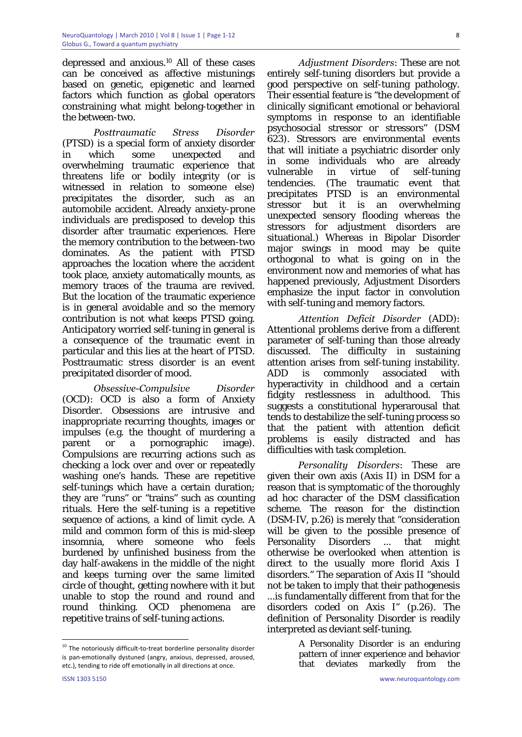depressed and anxious.10 All of these cases can be conceived as affective mistunings based on genetic, epigenetic and learned factors which function as global operators constraining what might belong-together in the between-two.

*Posttraumatic Stress Disorder* (PTSD) is a special form of anxiety disorder in which some unexpected and overwhelming traumatic experience that threatens life or bodily integrity (or is witnessed in relation to someone else) precipitates the disorder, such as an automobile accident. Already anxiety-prone individuals are predisposed to develop this disorder after traumatic experiences. Here the memory contribution to the between-two dominates. As the patient with PTSD approaches the location where the accident took place, anxiety automatically mounts, as memory traces of the trauma are revived. But the location of the traumatic experience is in general avoidable and so the memory contribution is not what keeps PTSD going. Anticipatory worried self-tuning in general is a consequence of the traumatic event in particular and this lies at the heart of PTSD. Posttraumatic stress disorder is an event precipitated disorder of mood.

*Obsessive-Compulsive Disorder*  (OCD): OCD is also a form of Anxiety Disorder. Obsessions are intrusive and inappropriate recurring thoughts, images or impulses (e.g. the thought of murdering a parent or a pornographic image). Compulsions are recurring actions such as checking a lock over and over or repeatedly washing one's hands. These are repetitive self-tunings which have a certain duration; they are "runs" or "trains" such as counting rituals. Here the self-tuning is a repetitive sequence of actions, a kind of limit cycle. A mild and common form of this is mid-sleep insomnia, where someone who feels burdened by unfinished business from the day half-awakens in the middle of the night and keeps turning over the same limited circle of thought, getting nowhere with it but unable to stop the round and round and round thinking. OCD phenomena are repetitive trains of self-tuning actions.

*Adjustment Disorders*: These are not entirely self-tuning disorders but provide a good perspective on self-tuning pathology. Their essential feature is "the development of clinically significant emotional or behavioral symptoms in response to an identifiable psychosocial stressor or stressors" (DSM 623). Stressors are environmental events that will initiate a psychiatric disorder only in some individuals who are already vulnerable in virtue of self-tuning tendencies. (The traumatic event that precipitates PTSD is an environmental stressor but it is an overwhelming unexpected sensory flooding whereas the stressors for adjustment disorders are situational.) Whereas in Bipolar Disorder major swings in mood may be quite orthogonal to what is going on in the environment now and memories of what has happened previously, Adjustment Disorders emphasize the input factor in convolution with self-tuning and memory factors.

*Attention Deficit Disorder* (ADD): Attentional problems derive from a different parameter of self-tuning than those already discussed. The difficulty in sustaining attention arises from self-tuning instability. ADD is commonly associated with hyperactivity in childhood and a certain fidgity restlessness in adulthood. This suggests a constitutional hyperarousal that tends to destabilize the self-tuning process so that the patient with attention deficit problems is easily distracted and has difficulties with task completion.

*Personality Disorders*: These are given their own axis (Axis II) in DSM for a reason that is symptomatic of the thoroughly ad hoc character of the DSM classification scheme. The reason for the distinction (DSM-IV, p.26) is merely that "consideration will be given to the possible presence of Personality Disorders ... that might otherwise be overlooked when attention is direct to the usually more florid Axis I disorders." The separation of Axis II "should not be taken to imply that their pathogenesis ...is fundamentally different from that for the disorders coded on Axis I" (p.26). The definition of Personality Disorder is readily interpreted as deviant self-tuning.

> A Personality Disorder is an enduring pattern of inner experience and behavior that deviates markedly from the

1

 $10$  The notoriously difficult-to-treat borderline personality disorder is pan-emotionally dystuned (angry, anxious, depressed, aroused, etc.), tending to ride off emotionally in all directions at once.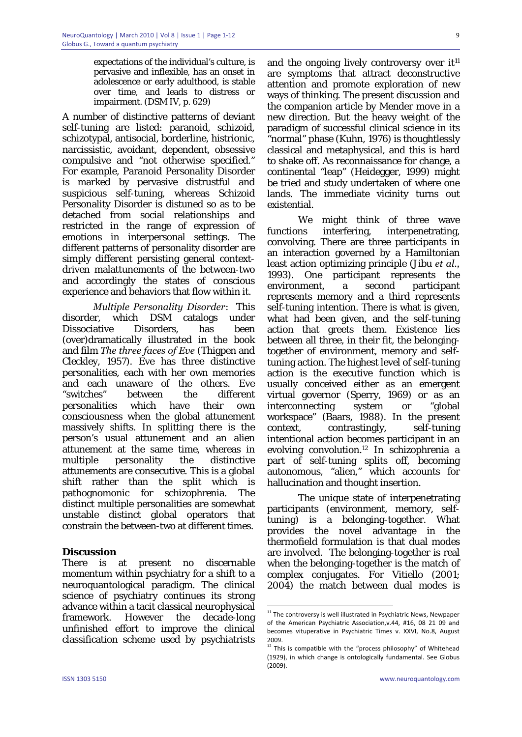expectations of the individual's culture, is pervasive and inflexible, has an onset in adolescence or early adulthood, is stable over time, and leads to distress or impairment. (DSM IV, p. 629)

A number of distinctive patterns of deviant self-tuning are listed: paranoid, schizoid, schizotypal, antisocial, borderline, histrionic, narcissistic, avoidant, dependent, obsessive compulsive and "not otherwise specified." For example, Paranoid Personality Disorder is marked by pervasive distrustful and suspicious self-tuning, whereas Schizoid Personality Disorder is distuned so as to be detached from social relationships and restricted in the range of expression of emotions in interpersonal settings. The different patterns of personality disorder are simply different persisting general contextdriven malattunements of the between-two and accordingly the states of conscious experience and behaviors that flow within it.

*Multiple Personality Disorder*: This disorder, which DSM catalogs under Dissociative Disorders, has been (over)dramatically illustrated in the book and film *The three faces of Eve* (Thigpen and Cleckley, 1957). Eve has three distinctive personalities, each with her own memories and each unaware of the others. Eve "switches" between the different personalities which have their own consciousness when the global attunement massively shifts. In splitting there is the person's usual attunement and an alien attunement at the same time, whereas in multiple personality the distinctive attunements are consecutive. This is a global shift rather than the split which is pathognomonic for schizophrenia. The distinct multiple personalities are somewhat unstable distinct global operators that constrain the between-two at different times.

#### **Discussion**

There is at present no discernable momentum within psychiatry for a shift to a neuroquantological paradigm. The clinical science of psychiatry continues its strong advance within a tacit classical neurophysical framework. However the decade-long unfinished effort to improve the clinical classification scheme used by psychiatrists and the ongoing lively controversy over  $it<sup>11</sup>$ are symptoms that attract deconstructive attention and promote exploration of new ways of thinking. The present discussion and the companion article by Mender move in a new direction. But the heavy weight of the paradigm of successful clinical science in its "normal" phase (Kuhn, 1976) is thoughtlessly classical and metaphysical, and this is hard to shake off. As reconnaissance for change, a continental "leap" (Heidegger, 1999) might be tried and study undertaken of where one lands. The immediate vicinity turns out existential.

 We might think of three wave functions interfering, interpenetrating, convolving. There are three participants in an interaction governed by a Hamiltonian least action optimizing principle (Jibu *et al.,* 1993). One participant represents the environment, a second participant represents memory and a third represents self-tuning intention. There is what is given, what had been given, and the self-tuning action that greets them. Existence lies between all three, in their fit, the belongingtogether of environment, memory and selftuning action. The highest level of self-tuning action is the executive function which is usually conceived either as an emergent virtual governor (Sperry, 1969) or as an interconnecting system or "global workspace" (Baars, 1988). In the present context, contrastingly, self-tuning intentional action becomes participant in an evolving convolution.12 In schizophrenia a part of self-tuning splits off, becoming autonomous, "alien," which accounts for hallucination and thought insertion.

 The unique state of interpenetrating participants (environment, memory, selftuning) is a belonging-together. What provides the novel advantage in the thermofield formulation is that dual modes are involved. The belonging-together is real when the belonging-together is the match of complex conjugates. For Vitiello (2001; 2004) the match between dual modes is

 $11$  The controversy is well illustrated in Psychiatric News, Newpaper of the American Psychiatric Association,v.44, #16, 08 21 09 and becomes vituperative in Psychiatric Times v. XXVI, No.8, August  $2009.$ 

This is compatible with the "process philosophy" of Whitehead (1929), in which change is ontologically fundamental. See Globus (2009).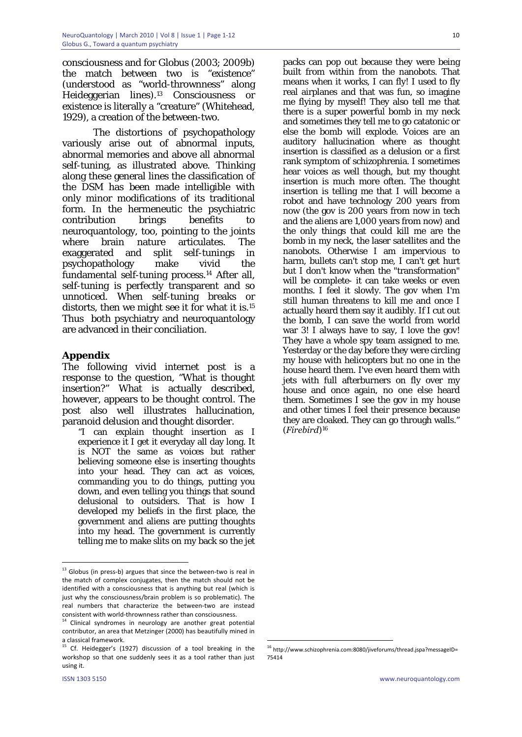consciousness and for Globus (2003; 2009b) the match between two is "existence" (understood as "world-thrownness" along Heideggerian lines).13 Consciousness or existence is literally a "creature" (Whitehead, 1929), a creation of the between-two.

 The distortions of psychopathology variously arise out of abnormal inputs, abnormal memories and above all abnormal self-tuning, as illustrated above. Thinking along these general lines the classification of the DSM has been made intelligible with only minor modifications of its traditional form. In the hermeneutic the psychiatric contribution brings benefits to neuroquantology, too, pointing to the joints where brain nature articulates. The exaggerated and split self-tunings in psychopathology make vivid the fundamental self-tuning process.14 After all, self-tuning is perfectly transparent and so unnoticed. When self-tuning breaks or distorts, then we might see it for what it is.15 Thus both psychiatry and neuroquantology are advanced in their conciliation.

#### **Appendix**

The following vivid internet post is a response to the question, "What is thought insertion?" What is actually described, however, appears to be thought control. The post also well illustrates hallucination, paranoid delusion and thought disorder.

"I can explain thought insertion as I experience it I get it everyday all day long. It is NOT the same as voices but rather believing someone else is inserting thoughts into your head. They can act as voices, commanding you to do things, putting you down, and even telling you things that sound delusional to outsiders. That is how I developed my beliefs in the first place, the government and aliens are putting thoughts into my head. The government is currently telling me to make slits on my back so the jet

1

packs can pop out because they were being built from within from the nanobots. That means when it works, I can fly! I used to fly real airplanes and that was fun, so imagine me flying by myself! They also tell me that there is a super powerful bomb in my neck and sometimes they tell me to go catatonic or else the bomb will explode. Voices are an auditory hallucination where as thought insertion is classified as a delusion or a first rank symptom of schizophrenia. I sometimes hear voices as well though, but my thought insertion is much more often. The thought insertion is telling me that I will become a robot and have technology 200 years from now (the gov is 200 years from now in tech and the aliens are 1,000 years from now) and the only things that could kill me are the bomb in my neck, the laser satellites and the nanobots. Otherwise I am impervious to harm, bullets can't stop me, I can't get hurt but I don't know when the "transformation" will be complete- it can take weeks or even months. I feel it slowly. The gov when I'm still human threatens to kill me and once I actually heard them say it audibly. If I cut out the bomb, I can save the world from world war 3! I always have to say, I love the gov! They have a whole spy team assigned to me. Yesterday or the day before they were circling my house with helicopters but no one in the house heard them. I've even heard them with jets with full afterburners on fly over my house and once again, no one else heard them. Sometimes I see the gov in my house and other times I feel their presence because they are cloaked. They can go through walls." (*Firebird*)16

 $13$  Globus (in press-b) argues that since the between-two is real in the match of complex conjugates, then the match should not be identified with a consciousness that is anything but real (which is just why the consciousness/brain problem is so problematic). The real numbers that characterize the between‐two are instead consistent with world‐thrownness rather than consciousness. <sup>14</sup> Clinical syndromes in neurology are another great potential

contributor, an area that Metzinger (2000) has beautifully mined in a classical framework.

Cf. Heidegger's (1927) discussion of a tool breaking in the workshop so that one suddenly sees it as a tool rather than just using it.

 $^{16}$ http://www.schizophrenia.com:8080/jiveforums/thread.jspa?messageID= 75414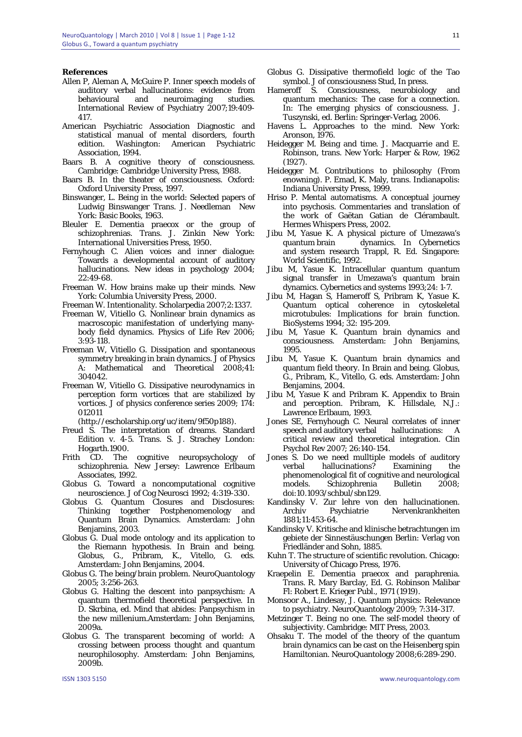#### **References**

- Allen P, Aleman A, McGuire P. Inner speech models of auditory verbal hallucinations: evidence from behavioural and neuroimaging studies. International Review of Psychiatry 2007;19:409- 417.
- American Psychiatric Association Diagnostic and statistical manual of mental disorders, fourth edition. Washington: American Psychiatric Association, 1994.
- Baars B. A cognitive theory of consciousness. Cambridge: Cambridge University Press, 1988.
- Baars B. In the theater of consciousness. Oxford: Oxford University Press, 1997.
- Binswanger, L. Being in the world: Selected papers of Ludwig Binswanger Trans. J. Needleman New York: Basic Books, 1963.
- Bleuler E. Dementia praecox or the group of schizophrenias. Trans. J. Zinkin New York: International Universities Press, 1950.
- Fernyhough C. Alien voices and inner dialogue: Towards a developmental account of auditory hallucinations. New ideas in psychology 2004;  $22.49 - 68$
- Freeman W. How brains make up their minds. New York: Columbia University Press, 2000.

Freeman W. Intentionality. Scholarpedia 2007;2:1337.

- Freeman W, Vitiello G. Nonlinear brain dynamics as macroscopic manifestation of underlying manybody field dynamics. Physics of Life Rev 2006; 3:93-118.
- Freeman W, Vitiello G. Dissipation and spontaneous symmetry breaking in brain dynamics. J of Physics A: Mathematical and Theoretical 2008;41: 304042.
- Freeman W, Vitiello G. Dissipative neurodynamics in perception form vortices that are stabilized by vortices. J of physics conference series 2009; 174: 012011

(http://escholarship.org/uc/item/9f50p188).

- Freud S. The interpretation of dreams. Standard Edition v. 4-5. Trans. S. J. Strachey London: Hogarth.1900.
- Frith CD. The cognitive neuropsychology of schizophrenia. New Jersey: Lawrence Erlbaum Associates, 1992.
- Globus G. Toward a noncomputational cognitive neuroscience. J of Cog Neurosci 1992; 4:319-330.
- Globus G. Quantum Closures and Disclosures: Thinking together Postphenomenology and Quantum Brain Dynamics. Amsterdam: John Benjamins, 2003.
- Globus G. Dual mode ontology and its application to the Riemann hypothesis. In Brain and being. Globus, G., Pribram, K., Vitello, G. eds. Amsterdam: John Benjamins, 2004.
- Globus G. The being/brain problem. NeuroQuantology  $2005: 3:256-263$
- Globus G. Halting the descent into panpsychism: A quantum thermofield theoretical perspective. In D. Skrbina, ed. Mind that abides: Panpsychism in the new millenium.Amsterdam: John Benjamins, 2009a.
- Globus G. The transparent becoming of world: A crossing between process thought and quantum neurophilosophy. Amsterdam: John Benjamins, 2009b.
- Globus G. Dissipative thermofield logic of the Tao symbol. J of consciousness Stud, In press.
- Hameroff S. Consciousness, neurobiology and quantum mechanics: The case for a connection. In: The emerging physics of consciousness. J. Tuszynski, ed. Berlin: Springer-Verlag, 2006.
- Havens L. Approaches to the mind. New York: Aronson, 1976.
- Heidegger M. Being and time. J. Macquarrie and E. Robinson, trans. New York: Harper & Row, 1962 (1927).
- Heidegger M. Contributions to philosophy (From enowning). P. Emad, K. Maly, trans. Indianapolis: Indiana University Press, 1999.
- Hriso P. Mental automatisms. A conceptual journey into psychosis. Commentaries and translation of the work of Gaëtan Gatian de Clérambault. Hermes Whispers Press, 2002.
- Jibu M, Yasue K. A physical picture of Umezawa's quantum brain dynamics. In Cybernetics and system research Trappl, R. Ed. Singapore: World Scientific, 1992.
- Jibu M, Yasue K. Intracellular quantum quantum signal transfer in Umezawa's quantum brain dynamics. Cybernetics and systems 1993;24: 1-7.
- Jibu M, Hagan S, Hameroff S, Pribram K, Yasue K. Quantum optical coherence in cytoskeletal microtubules: Implications for brain function. BioSystems 1994; 32: 195-209.
- Jibu M, Yasue K. Quantum brain dynamics and consciousness. Amsterdam: John Benjamins, 1995.
- Jibu M, Yasue K. Quantum brain dynamics and quantum field theory. In Brain and being. Globus, G., Pribram, K., Vitello, G. eds. Amsterdam: John Benjamins, 2004.
- Jibu M, Yasue K and Pribram K. Appendix to Brain and perception. Pribram, K. Hillsdale, N.J.: Lawrence Erlbaum, 1993.
- Jones SE, Fernyhough C. Neural correlates of inner speech and auditory verbal hallucinations: A critical review and theoretical integration. Clin Psychol Rev 2007; 26:140-154.
- Jones S. Do we need mulltiple models of auditory verbal hallucinations? Examining the phenomenological fit of cognitive and neurological models. Schizophrenia Bulletin 2008; doi:10.1093/schbul/sbn129.
- Kandinsky V. Zur lehre von den hallucinationen. Archiv Psychiatrie Nervenkrankheiten 1881;11:453-64.
- Kandinsky V. Kritische and klinische betrachtungen im gebiete der Sinnestäuschungen Berlin: Verlag von Friedländer and Sohn, 1885.
- Kuhn T. The structure of scientific revolution. Chicago: University of Chicago Press, 1976.
- Kraepelin E. Dementia praecox and paraphrenia. Trans. R. Mary Barclay, Ed. G. Robinson Malibar Fl: Robert E. Krieger Publ., 1971 (1919).
- Monsoor A., Lindesay, J. Quantum physics: Relevance to psychiatry. NeuroQuantology 2009; 7:314-317.
- Metzinger T. Being no one. The self-model theory of subjectivity. Cambridge: MIT Press, 2003.
- Ohsaku T. The model of the theory of the quantum brain dynamics can be cast on the Heisenberg spin Hamiltonian. NeuroQuantology 2008;6:289-290.